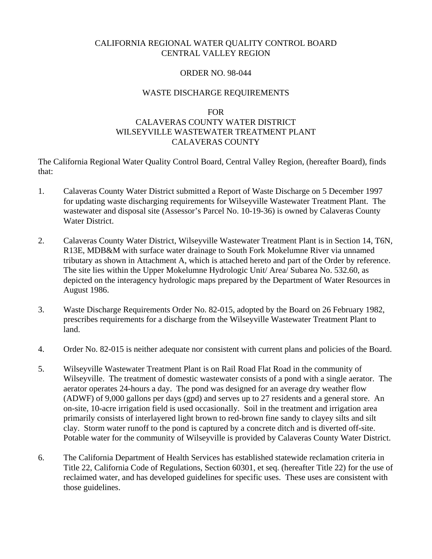## CALIFORNIA REGIONAL WATER QUALITY CONTROL BOARD CENTRAL VALLEY REGION

### ORDER NO. 98-044

### WASTE DISCHARGE REQUIREMENTS

#### FOR

# CALAVERAS COUNTY WATER DISTRICT WILSEYVILLE WASTEWATER TREATMENT PLANT CALAVERAS COUNTY

The California Regional Water Quality Control Board, Central Valley Region, (hereafter Board), finds that:

- 1. Calaveras County Water District submitted a Report of Waste Discharge on 5 December 1997 for updating waste discharging requirements for Wilseyville Wastewater Treatment Plant. The wastewater and disposal site (Assessor's Parcel No. 10-19-36) is owned by Calaveras County Water District.
- 2. Calaveras County Water District, Wilseyville Wastewater Treatment Plant is in Section 14, T6N, R13E, MDB&M with surface water drainage to South Fork Mokelumne River via unnamed tributary as shown in Attachment A, which is attached hereto and part of the Order by reference. The site lies within the Upper Mokelumne Hydrologic Unit/ Area/ Subarea No. 532.60, as depicted on the interagency hydrologic maps prepared by the Department of Water Resources in August 1986.
- 3. Waste Discharge Requirements Order No. 82-015, adopted by the Board on 26 February 1982, prescribes requirements for a discharge from the Wilseyville Wastewater Treatment Plant to land.
- 4. Order No. 82-015 is neither adequate nor consistent with current plans and policies of the Board.
- 5. Wilseyville Wastewater Treatment Plant is on Rail Road Flat Road in the community of Wilseyville. The treatment of domestic wastewater consists of a pond with a single aerator. The aerator operates 24-hours a day. The pond was designed for an average dry weather flow (ADWF) of 9,000 gallons per days (gpd) and serves up to 27 residents and a general store. An on-site, 10-acre irrigation field is used occasionally. Soil in the treatment and irrigation area primarily consists of interlayered light brown to red-brown fine sandy to clayey silts and silt clay. Storm water runoff to the pond is captured by a concrete ditch and is diverted off-site. Potable water for the community of Wilseyville is provided by Calaveras County Water District.
- 6. The California Department of Health Services has established statewide reclamation criteria in Title 22, California Code of Regulations, Section 60301, et seq. (hereafter Title 22) for the use of reclaimed water, and has developed guidelines for specific uses. These uses are consistent with those guidelines.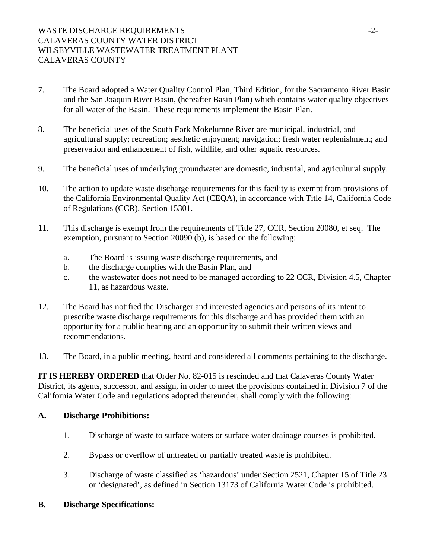# WASTE DISCHARGE REQUIREMENTS -2-CALAVERAS COUNTY WATER DISTRICT WILSEYVILLE WASTEWATER TREATMENT PLANT CALAVERAS COUNTY

- 7. The Board adopted a Water Quality Control Plan, Third Edition, for the Sacramento River Basin and the San Joaquin River Basin, (hereafter Basin Plan) which contains water quality objectives for all water of the Basin. These requirements implement the Basin Plan.
- 8. The beneficial uses of the South Fork Mokelumne River are municipal, industrial, and agricultural supply; recreation; aesthetic enjoyment; navigation; fresh water replenishment; and preservation and enhancement of fish, wildlife, and other aquatic resources.
- 9. The beneficial uses of underlying groundwater are domestic, industrial, and agricultural supply.
- 10. The action to update waste discharge requirements for this facility is exempt from provisions of the California Environmental Quality Act (CEQA), in accordance with Title 14, California Code of Regulations (CCR), Section 15301.
- 11. This discharge is exempt from the requirements of Title 27, CCR, Section 20080, et seq. The exemption, pursuant to Section 20090 (b), is based on the following:
	- a. The Board is issuing waste discharge requirements, and
	- b. the discharge complies with the Basin Plan, and
	- c. the wastewater does not need to be managed according to 22 CCR, Division 4.5, Chapter 11, as hazardous waste.
- 12. The Board has notified the Discharger and interested agencies and persons of its intent to prescribe waste discharge requirements for this discharge and has provided them with an opportunity for a public hearing and an opportunity to submit their written views and recommendations.
- 13. The Board, in a public meeting, heard and considered all comments pertaining to the discharge.

**IT IS HEREBY ORDERED** that Order No. 82-015 is rescinded and that Calaveras County Water District, its agents, successor, and assign, in order to meet the provisions contained in Division 7 of the California Water Code and regulations adopted thereunder, shall comply with the following:

# **A. Discharge Prohibitions:**

- 1. Discharge of waste to surface waters or surface water drainage courses is prohibited.
- 2. Bypass or overflow of untreated or partially treated waste is prohibited.
- 3. Discharge of waste classified as 'hazardous' under Section 2521, Chapter 15 of Title 23 or 'designated', as defined in Section 13173 of California Water Code is prohibited.
- **B. Discharge Specifications:**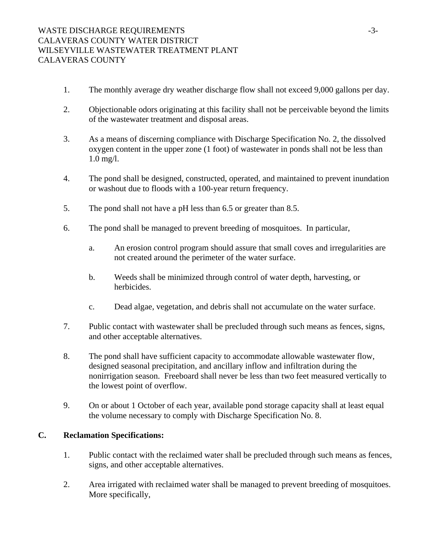- 1. The monthly average dry weather discharge flow shall not exceed 9,000 gallons per day.
- 2. Objectionable odors originating at this facility shall not be perceivable beyond the limits of the wastewater treatment and disposal areas.
- 3. As a means of discerning compliance with Discharge Specification No. 2, the dissolved oxygen content in the upper zone (1 foot) of wastewater in ponds shall not be less than 1.0 mg/l.
- 4. The pond shall be designed, constructed, operated, and maintained to prevent inundation or washout due to floods with a 100-year return frequency.
- 5. The pond shall not have a pH less than 6.5 or greater than 8.5.
- 6. The pond shall be managed to prevent breeding of mosquitoes. In particular,
	- a. An erosion control program should assure that small coves and irregularities are not created around the perimeter of the water surface.
	- b. Weeds shall be minimized through control of water depth, harvesting, or herbicides.
	- c. Dead algae, vegetation, and debris shall not accumulate on the water surface.
- 7. Public contact with wastewater shall be precluded through such means as fences, signs, and other acceptable alternatives.
- 8. The pond shall have sufficient capacity to accommodate allowable wastewater flow, designed seasonal precipitation, and ancillary inflow and infiltration during the nonirrigation season. Freeboard shall never be less than two feet measured vertically to the lowest point of overflow.
- 9. On or about 1 October of each year, available pond storage capacity shall at least equal the volume necessary to comply with Discharge Specification No. 8.

### **C. Reclamation Specifications:**

- 1. Public contact with the reclaimed water shall be precluded through such means as fences, signs, and other acceptable alternatives.
- 2. Area irrigated with reclaimed water shall be managed to prevent breeding of mosquitoes. More specifically,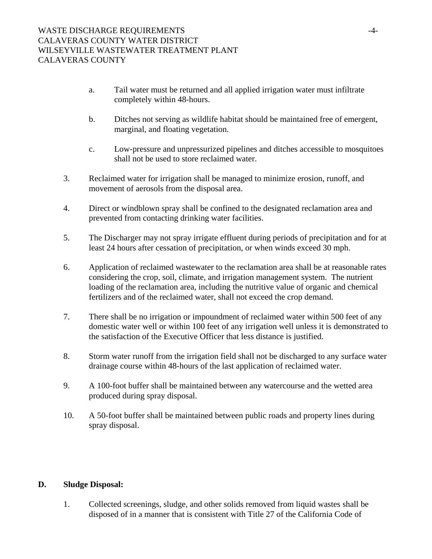- a. Tail water must be returned and all applied irrigation water must infiltrate completely within 48-hours.
- b. Ditches not serving as wildlife habitat should be maintained free of emergent, marginal, and floating vegetation.
- c. Low-pressure and unpressurized pipelines and ditches accessible to mosquitoes shall not be used to store reclaimed water.
- 3. Reclaimed water for irrigation shall be managed to minimize erosion, runoff, and movement of aerosols from the disposal area.
- 4. Direct or windblown spray shall be confined to the designated reclamation area and prevented from contacting drinking water facilities.
- 5. The Discharger may not spray irrigate effluent during periods of precipitation and for at least 24 hours after cessation of precipitation, or when winds exceed 30 mph.
- 6. Application of reclaimed wastewater to the reclamation area shall be at reasonable rates considering the crop, soil, climate, and irrigation management system. The nutrient loading of the reclamation area, including the nutritive value of organic and chemical fertilizers and of the reclaimed water, shall not exceed the crop demand.
- 7. There shall be no irrigation or impoundment of reclaimed water within 500 feet of any domestic water well or within 100 feet of any irrigation well unless it is demonstrated to the satisfaction of the Executive Officer that less distance is justified.
- 8. Storm water runoff from the irrigation field shall not be discharged to any surface water drainage course within 48-hours of the last application of reclaimed water.
- 9. A 100-foot buffer shall be maintained between any watercourse and the wetted area produced during spray disposal.
- 10. A 50-foot buffer shall be maintained between public roads and property lines during spray disposal.

# **D. Sludge Disposal:**

1. Collected screenings, sludge, and other solids removed from liquid wastes shall be disposed of in a manner that is consistent with Title 27 of the California Code of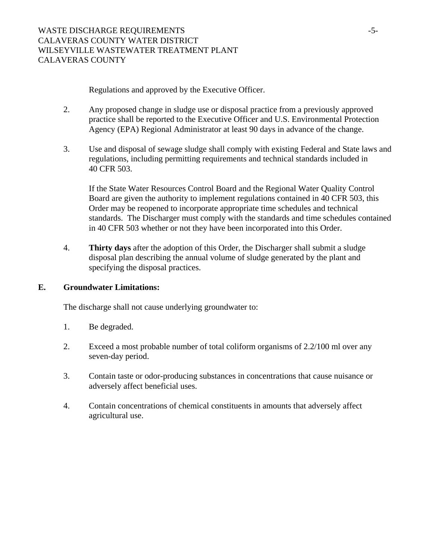Regulations and approved by the Executive Officer.

- 2. Any proposed change in sludge use or disposal practice from a previously approved practice shall be reported to the Executive Officer and U.S. Environmental Protection Agency (EPA) Regional Administrator at least 90 days in advance of the change.
- 3. Use and disposal of sewage sludge shall comply with existing Federal and State laws and regulations, including permitting requirements and technical standards included in 40 CFR 503.

If the State Water Resources Control Board and the Regional Water Quality Control Board are given the authority to implement regulations contained in 40 CFR 503, this Order may be reopened to incorporate appropriate time schedules and technical standards. The Discharger must comply with the standards and time schedules contained in 40 CFR 503 whether or not they have been incorporated into this Order.

4. **Thirty days** after the adoption of this Order, the Discharger shall submit a sludge disposal plan describing the annual volume of sludge generated by the plant and specifying the disposal practices.

# **E. Groundwater Limitations:**

The discharge shall not cause underlying groundwater to:

- 1. Be degraded.
- 2. Exceed a most probable number of total coliform organisms of 2.2/100 ml over any seven-day period.
- 3. Contain taste or odor-producing substances in concentrations that cause nuisance or adversely affect beneficial uses.
- 4. Contain concentrations of chemical constituents in amounts that adversely affect agricultural use.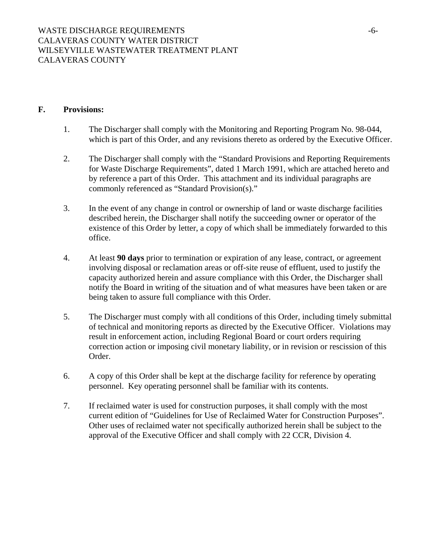### **F. Provisions:**

- 1. The Discharger shall comply with the Monitoring and Reporting Program No. 98-044, which is part of this Order, and any revisions thereto as ordered by the Executive Officer.
- 2. The Discharger shall comply with the "Standard Provisions and Reporting Requirements for Waste Discharge Requirements", dated 1 March 1991, which are attached hereto and by reference a part of this Order. This attachment and its individual paragraphs are commonly referenced as "Standard Provision(s)."
- 3. In the event of any change in control or ownership of land or waste discharge facilities described herein, the Discharger shall notify the succeeding owner or operator of the existence of this Order by letter, a copy of which shall be immediately forwarded to this office.
- 4. At least **90 days** prior to termination or expiration of any lease, contract, or agreement involving disposal or reclamation areas or off-site reuse of effluent, used to justify the capacity authorized herein and assure compliance with this Order, the Discharger shall notify the Board in writing of the situation and of what measures have been taken or are being taken to assure full compliance with this Order.
- 5. The Discharger must comply with all conditions of this Order, including timely submittal of technical and monitoring reports as directed by the Executive Officer. Violations may result in enforcement action, including Regional Board or court orders requiring correction action or imposing civil monetary liability, or in revision or rescission of this Order.
- 6. A copy of this Order shall be kept at the discharge facility for reference by operating personnel. Key operating personnel shall be familiar with its contents.
- 7. If reclaimed water is used for construction purposes, it shall comply with the most current edition of "Guidelines for Use of Reclaimed Water for Construction Purposes". Other uses of reclaimed water not specifically authorized herein shall be subject to the approval of the Executive Officer and shall comply with 22 CCR, Division 4.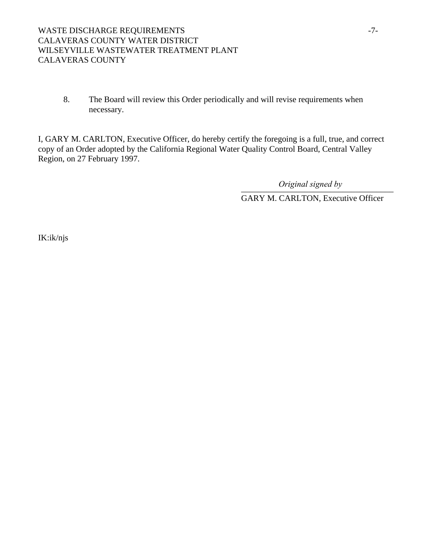8. The Board will review this Order periodically and will revise requirements when necessary.

I, GARY M. CARLTON, Executive Officer, do hereby certify the foregoing is a full, true, and correct copy of an Order adopted by the California Regional Water Quality Control Board, Central Valley Region, on 27 February 1997.

\_\_\_\_\_\_\_\_\_\_\_\_\_\_\_\_\_\_\_\_\_\_\_\_\_\_\_\_\_\_\_\_\_\_\_\_ *Original signed by*

GARY M. CARLTON, Executive Officer

IK:ik/njs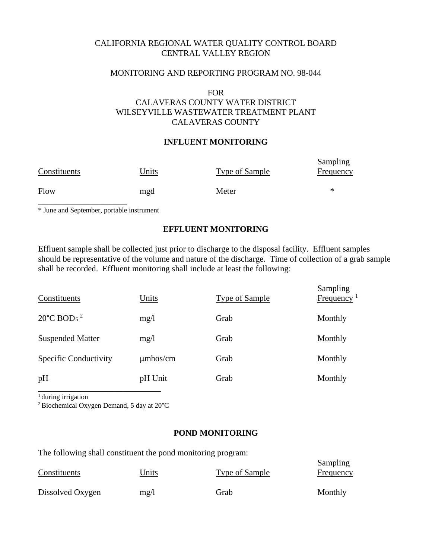## CALIFORNIA REGIONAL WATER QUALITY CONTROL BOARD CENTRAL VALLEY REGION

### MONITORING AND REPORTING PROGRAM NO. 98-044

#### FOR

# CALAVERAS COUNTY WATER DISTRICT WILSEYVILLE WASTEWATER TREATMENT PLANT CALAVERAS COUNTY

### **INFLUENT MONITORING**

| Constituents | Units | <b>Type of Sample</b> | Sampling<br><b>Frequency</b> |
|--------------|-------|-----------------------|------------------------------|
| Flow         | mgd   | Meter                 | ∗                            |

\* June and September, portable instrument

### **EFFLUENT MONITORING**

Effluent sample shall be collected just prior to discharge to the disposal facility. Effluent samples should be representative of the volume and nature of the discharge. Time of collection of a grab sample shall be recorded. Effluent monitoring shall include at least the following:

|                                                                          | Sampling<br>Frequency <sup>1</sup> |
|--------------------------------------------------------------------------|------------------------------------|
| 20 $^{\circ}$ C BOD <sub>5</sub> <sup>2</sup><br>Monthly<br>mg/1<br>Grab |                                    |
| <b>Suspended Matter</b><br>Grab<br>Monthly<br>mg/1                       |                                    |
| Specific Conductivity<br>$\mu$ mhos/cm<br>Monthly<br>Grab                |                                    |
| pH<br>pH Unit<br>Grab<br>Monthly                                         |                                    |

<sup>1</sup> during irrigation

2 Biochemical Oxygen Demand, 5 day at 20°C

### **POND MONITORING**

The following shall constituent the pond monitoring program: Sampling Constituents Units Units Type of Sample Frequency Dissolved Oxygen  $mg/l$  Grab Monthly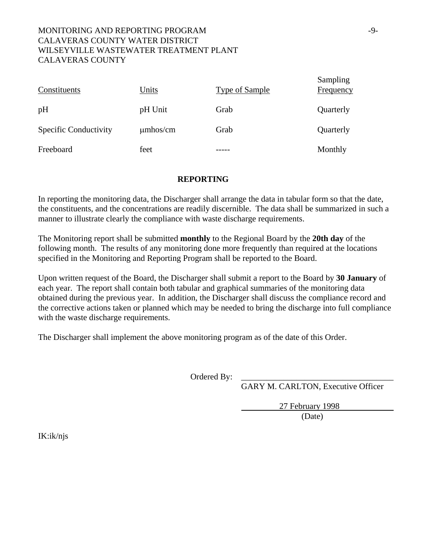# MONITORING AND REPORTING PROGRAM  $-9-$ CALAVERAS COUNTY WATER DISTRICT WILSEYVILLE WASTEWATER TREATMENT PLANT CALAVERAS COUNTY

| Constituents                 | <b>Units</b>  | <b>Type of Sample</b> | Sampling<br><b>Frequency</b> |
|------------------------------|---------------|-----------------------|------------------------------|
| pH                           | pH Unit       | Grab                  | Quarterly                    |
| <b>Specific Conductivity</b> | $\mu$ mhos/cm | Grab                  | Quarterly                    |
| Freeboard                    | feet          |                       | Monthly                      |

### **REPORTING**

In reporting the monitoring data, the Discharger shall arrange the data in tabular form so that the date, the constituents, and the concentrations are readily discernible. The data shall be summarized in such a manner to illustrate clearly the compliance with waste discharge requirements.

The Monitoring report shall be submitted **monthly** to the Regional Board by the **20th day** of the following month. The results of any monitoring done more frequently than required at the locations specified in the Monitoring and Reporting Program shall be reported to the Board.

Upon written request of the Board, the Discharger shall submit a report to the Board by **30 January** of each year. The report shall contain both tabular and graphical summaries of the monitoring data obtained during the previous year. In addition, the Discharger shall discuss the compliance record and the corrective actions taken or planned which may be needed to bring the discharge into full compliance with the waste discharge requirements.

The Discharger shall implement the above monitoring program as of the date of this Order.

Ordered By:

GARY M. CARLTON, Executive Officer

27 February 1998 (Date)

IK:ik/njs